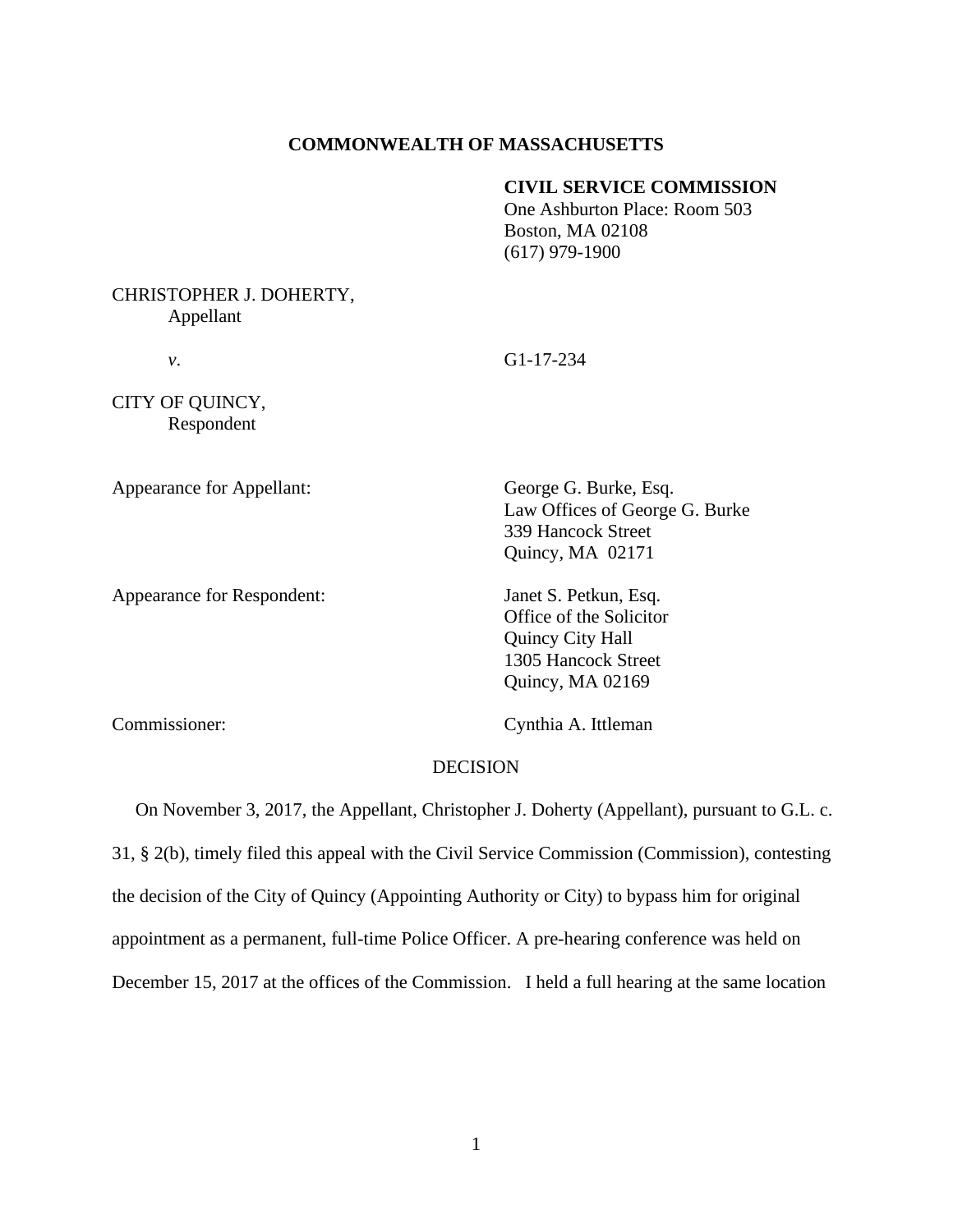## **COMMONWEALTH OF MASSACHUSETTS**

## **CIVIL SERVICE COMMISSION**

One Ashburton Place: Room 503 Boston, MA 02108 (617) 979-1900

# CHRISTOPHER J. DOHERTY, Appellant

*v*. G1-17-234

CITY OF QUINCY, Respondent

Appearance for Appellant: George G. Burke, Esq.

Appearance for Respondent: Janet S. Petkun, Esq.

Law Offices of George G. Burke 339 Hancock Street Quincy, MA 02171

Office of the Solicitor Quincy City Hall 1305 Hancock Street Quincy, MA 02169

Commissioner: Cynthia A. Ittleman

## DECISION

 On November 3, 2017, the Appellant, Christopher J. Doherty (Appellant), pursuant to G.L. c. 31, § 2(b), timely filed this appeal with the Civil Service Commission (Commission), contesting the decision of the City of Quincy (Appointing Authority or City) to bypass him for original appointment as a permanent, full-time Police Officer. A pre-hearing conference was held on December 15, 2017 at the offices of the Commission. I held a full hearing at the same location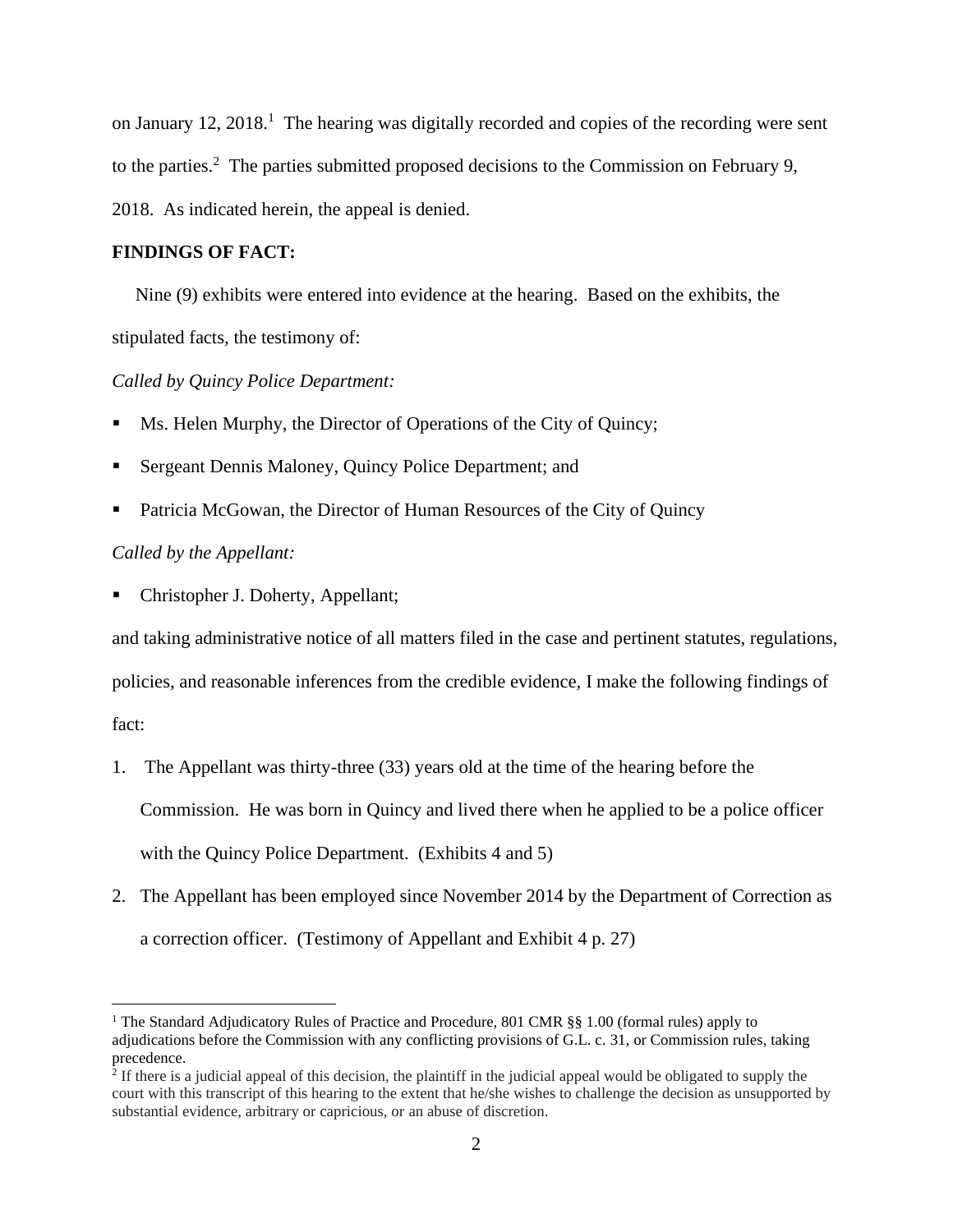on January 12, 2018.<sup>1</sup> The hearing was digitally recorded and copies of the recording were sent to the parties.<sup>2</sup> The parties submitted proposed decisions to the Commission on February 9, 2018. As indicated herein, the appeal is denied.

#### **FINDINGS OF FACT:**

Nine (9) exhibits were entered into evidence at the hearing. Based on the exhibits, the stipulated facts, the testimony of:

#### *Called by Quincy Police Department:*

- Ms. Helen Murphy, the Director of Operations of the City of Quincy;
- Sergeant Dennis Maloney, Quincy Police Department; and
- Patricia McGowan, the Director of Human Resources of the City of Quincy

## *Called by the Appellant:*

Christopher J. Doherty, Appellant;

and taking administrative notice of all matters filed in the case and pertinent statutes, regulations,

policies, and reasonable inferences from the credible evidence, I make the following findings of

fact:

- 1. The Appellant was thirty-three (33) years old at the time of the hearing before the Commission. He was born in Quincy and lived there when he applied to be a police officer with the Quincy Police Department. (Exhibits 4 and 5)
- 2. The Appellant has been employed since November 2014 by the Department of Correction as a correction officer. (Testimony of Appellant and Exhibit 4 p. 27)

<sup>&</sup>lt;sup>1</sup> The Standard Adjudicatory Rules of Practice and Procedure, 801 CMR  $\S$ § 1.00 (formal rules) apply to adjudications before the Commission with any conflicting provisions of G.L. c. 31, or Commission rules, taking precedence.

<sup>&</sup>lt;sup>2</sup> If there is a judicial appeal of this decision, the plaintiff in the judicial appeal would be obligated to supply the court with this transcript of this hearing to the extent that he/she wishes to challenge the decision as unsupported by substantial evidence, arbitrary or capricious, or an abuse of discretion.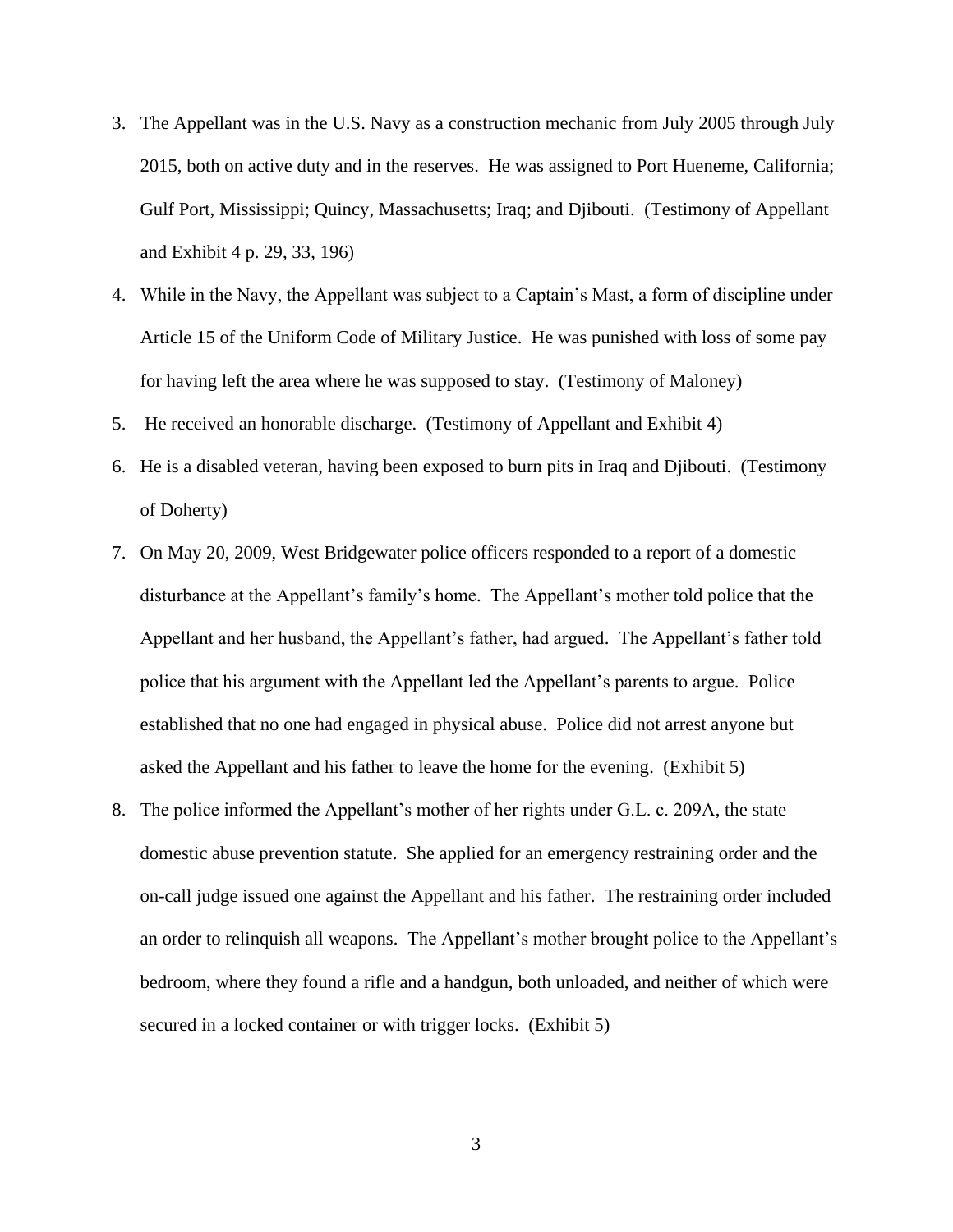- 3. The Appellant was in the U.S. Navy as a construction mechanic from July 2005 through July 2015, both on active duty and in the reserves. He was assigned to Port Hueneme, California; Gulf Port, Mississippi; Quincy, Massachusetts; Iraq; and Djibouti. (Testimony of Appellant and Exhibit 4 p. 29, 33, 196)
- 4. While in the Navy, the Appellant was subject to a Captain's Mast, a form of discipline under Article 15 of the Uniform Code of Military Justice. He was punished with loss of some pay for having left the area where he was supposed to stay. (Testimony of Maloney)
- 5. He received an honorable discharge. (Testimony of Appellant and Exhibit 4)
- 6. He is a disabled veteran, having been exposed to burn pits in Iraq and Djibouti. (Testimony of Doherty)
- 7. On May 20, 2009, West Bridgewater police officers responded to a report of a domestic disturbance at the Appellant's family's home. The Appellant's mother told police that the Appellant and her husband, the Appellant's father, had argued. The Appellant's father told police that his argument with the Appellant led the Appellant's parents to argue. Police established that no one had engaged in physical abuse. Police did not arrest anyone but asked the Appellant and his father to leave the home for the evening. (Exhibit 5)
- 8. The police informed the Appellant's mother of her rights under G.L. c. 209A, the state domestic abuse prevention statute. She applied for an emergency restraining order and the on-call judge issued one against the Appellant and his father. The restraining order included an order to relinquish all weapons. The Appellant's mother brought police to the Appellant's bedroom, where they found a rifle and a handgun, both unloaded, and neither of which were secured in a locked container or with trigger locks. (Exhibit 5)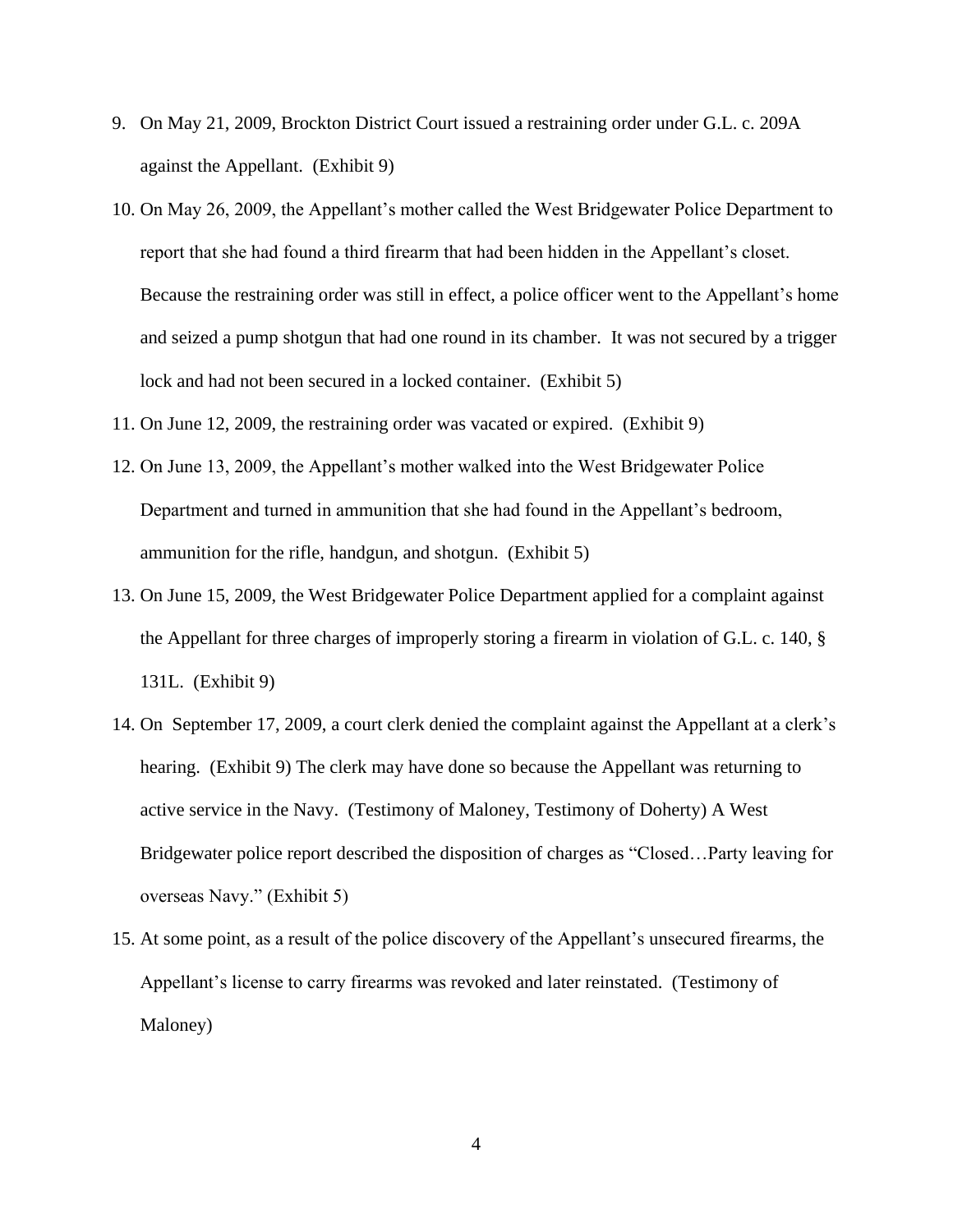- 9. On May 21, 2009, Brockton District Court issued a restraining order under G.L. c. 209A against the Appellant. (Exhibit 9)
- 10. On May 26, 2009, the Appellant's mother called the West Bridgewater Police Department to report that she had found a third firearm that had been hidden in the Appellant's closet. Because the restraining order was still in effect, a police officer went to the Appellant's home and seized a pump shotgun that had one round in its chamber. It was not secured by a trigger lock and had not been secured in a locked container. (Exhibit 5)
- 11. On June 12, 2009, the restraining order was vacated or expired. (Exhibit 9)
- 12. On June 13, 2009, the Appellant's mother walked into the West Bridgewater Police Department and turned in ammunition that she had found in the Appellant's bedroom, ammunition for the rifle, handgun, and shotgun. (Exhibit 5)
- 13. On June 15, 2009, the West Bridgewater Police Department applied for a complaint against the Appellant for three charges of improperly storing a firearm in violation of G.L. c. 140, § 131L. (Exhibit 9)
- 14. On September 17, 2009, a court clerk denied the complaint against the Appellant at a clerk's hearing. (Exhibit 9) The clerk may have done so because the Appellant was returning to active service in the Navy. (Testimony of Maloney, Testimony of Doherty) A West Bridgewater police report described the disposition of charges as "Closed…Party leaving for overseas Navy." (Exhibit 5)
- 15. At some point, as a result of the police discovery of the Appellant's unsecured firearms, the Appellant's license to carry firearms was revoked and later reinstated. (Testimony of Maloney)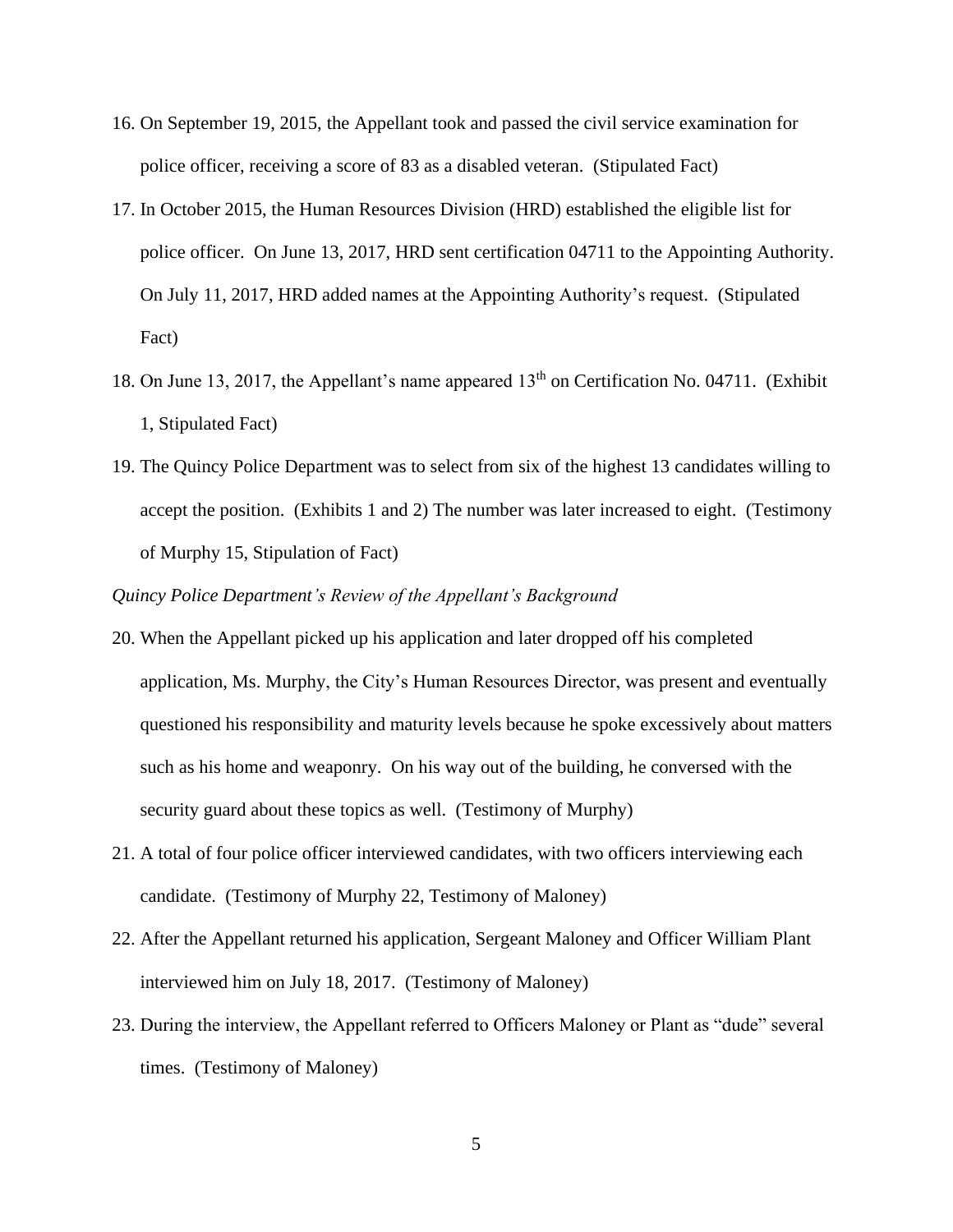- 16. On September 19, 2015, the Appellant took and passed the civil service examination for police officer, receiving a score of 83 as a disabled veteran. (Stipulated Fact)
- 17. In October 2015, the Human Resources Division (HRD) established the eligible list for police officer. On June 13, 2017, HRD sent certification 04711 to the Appointing Authority. On July 11, 2017, HRD added names at the Appointing Authority's request. (Stipulated Fact)
- 18. On June 13, 2017, the Appellant's name appeared 13<sup>th</sup> on Certification No. 04711. (Exhibit 1, Stipulated Fact)
- 19. The Quincy Police Department was to select from six of the highest 13 candidates willing to accept the position. (Exhibits 1 and 2) The number was later increased to eight. (Testimony of Murphy 15, Stipulation of Fact)

### *Quincy Police Department's Review of the Appellant's Background*

- 20. When the Appellant picked up his application and later dropped off his completed application, Ms. Murphy, the City's Human Resources Director, was present and eventually questioned his responsibility and maturity levels because he spoke excessively about matters such as his home and weaponry. On his way out of the building, he conversed with the security guard about these topics as well. (Testimony of Murphy)
- 21. A total of four police officer interviewed candidates, with two officers interviewing each candidate. (Testimony of Murphy 22, Testimony of Maloney)
- 22. After the Appellant returned his application, Sergeant Maloney and Officer William Plant interviewed him on July 18, 2017. (Testimony of Maloney)
- 23. During the interview, the Appellant referred to Officers Maloney or Plant as "dude" several times. (Testimony of Maloney)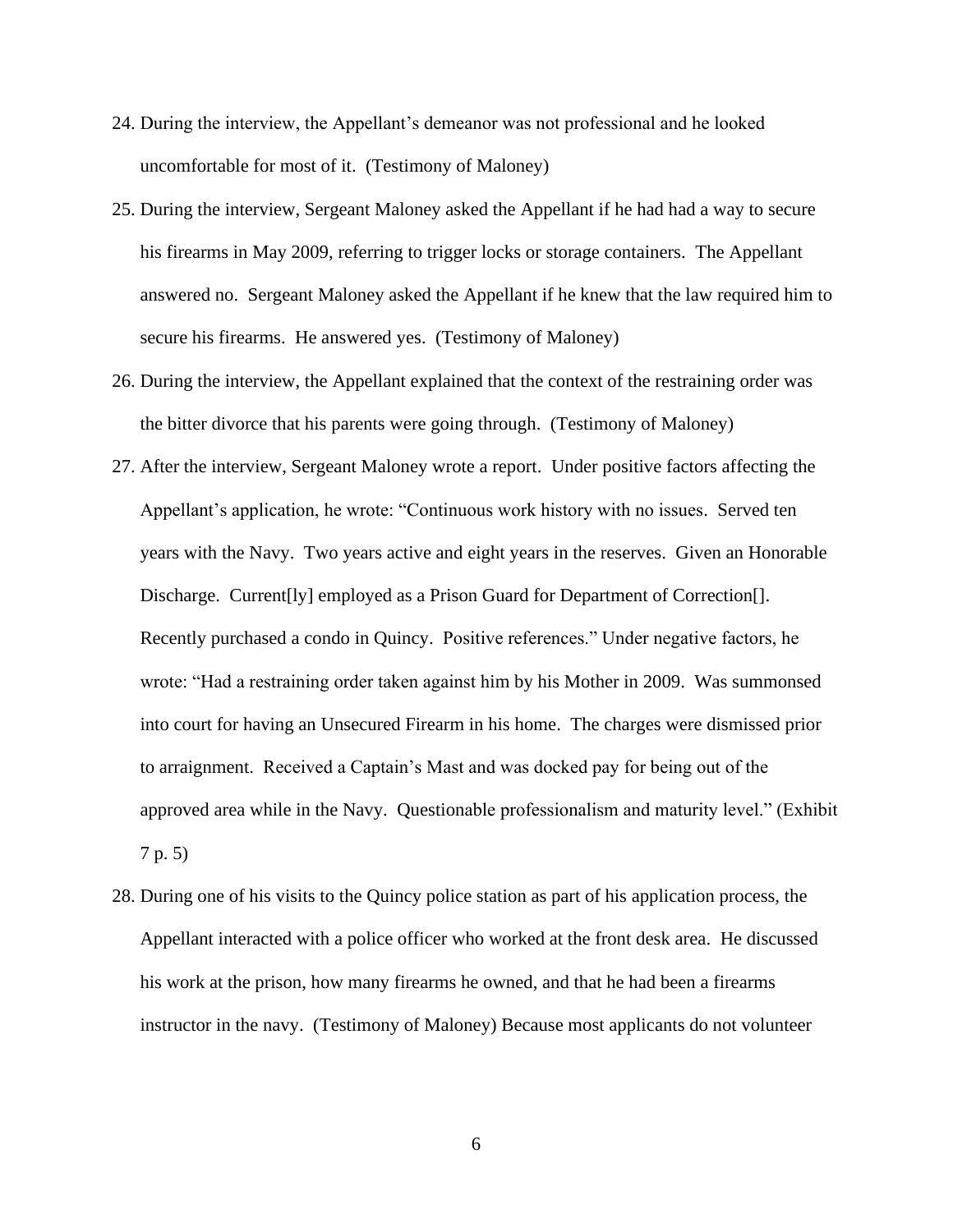- 24. During the interview, the Appellant's demeanor was not professional and he looked uncomfortable for most of it. (Testimony of Maloney)
- 25. During the interview, Sergeant Maloney asked the Appellant if he had had a way to secure his firearms in May 2009, referring to trigger locks or storage containers. The Appellant answered no. Sergeant Maloney asked the Appellant if he knew that the law required him to secure his firearms. He answered yes. (Testimony of Maloney)
- 26. During the interview, the Appellant explained that the context of the restraining order was the bitter divorce that his parents were going through. (Testimony of Maloney)
- 27. After the interview, Sergeant Maloney wrote a report. Under positive factors affecting the Appellant's application, he wrote: "Continuous work history with no issues. Served ten years with the Navy. Two years active and eight years in the reserves. Given an Honorable Discharge. Current[ly] employed as a Prison Guard for Department of Correction[]. Recently purchased a condo in Quincy. Positive references." Under negative factors, he wrote: "Had a restraining order taken against him by his Mother in 2009. Was summonsed into court for having an Unsecured Firearm in his home. The charges were dismissed prior to arraignment. Received a Captain's Mast and was docked pay for being out of the approved area while in the Navy. Questionable professionalism and maturity level." (Exhibit 7 p. 5)
- 28. During one of his visits to the Quincy police station as part of his application process, the Appellant interacted with a police officer who worked at the front desk area. He discussed his work at the prison, how many firearms he owned, and that he had been a firearms instructor in the navy. (Testimony of Maloney) Because most applicants do not volunteer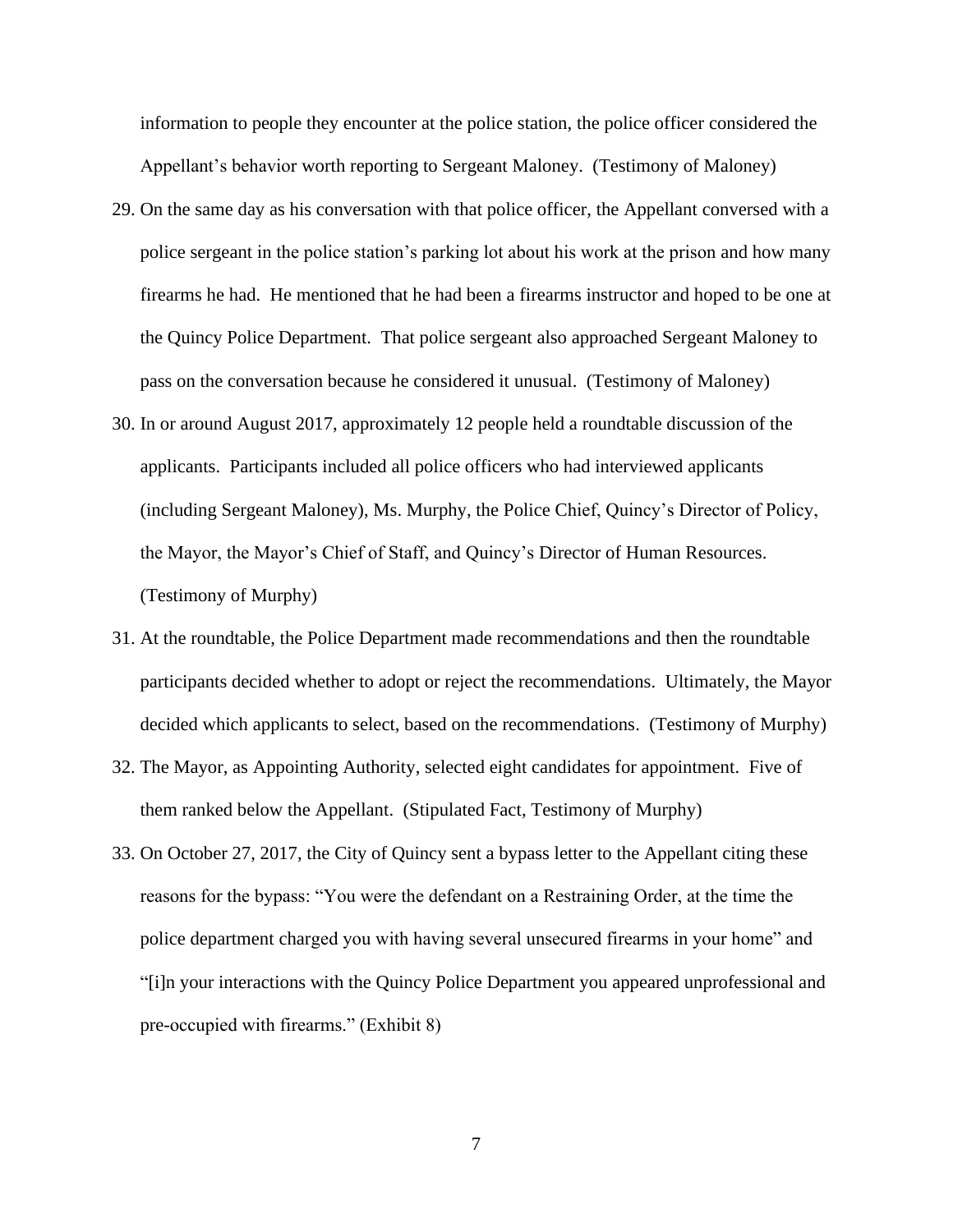information to people they encounter at the police station, the police officer considered the Appellant's behavior worth reporting to Sergeant Maloney. (Testimony of Maloney)

- 29. On the same day as his conversation with that police officer, the Appellant conversed with a police sergeant in the police station's parking lot about his work at the prison and how many firearms he had. He mentioned that he had been a firearms instructor and hoped to be one at the Quincy Police Department. That police sergeant also approached Sergeant Maloney to pass on the conversation because he considered it unusual. (Testimony of Maloney)
- 30. In or around August 2017, approximately 12 people held a roundtable discussion of the applicants. Participants included all police officers who had interviewed applicants (including Sergeant Maloney), Ms. Murphy, the Police Chief, Quincy's Director of Policy, the Mayor, the Mayor's Chief of Staff, and Quincy's Director of Human Resources. (Testimony of Murphy)
- 31. At the roundtable, the Police Department made recommendations and then the roundtable participants decided whether to adopt or reject the recommendations. Ultimately, the Mayor decided which applicants to select, based on the recommendations. (Testimony of Murphy)
- 32. The Mayor, as Appointing Authority, selected eight candidates for appointment. Five of them ranked below the Appellant. (Stipulated Fact, Testimony of Murphy)
- 33. On October 27, 2017, the City of Quincy sent a bypass letter to the Appellant citing these reasons for the bypass: "You were the defendant on a Restraining Order, at the time the police department charged you with having several unsecured firearms in your home" and "[i]n your interactions with the Quincy Police Department you appeared unprofessional and pre-occupied with firearms." (Exhibit 8)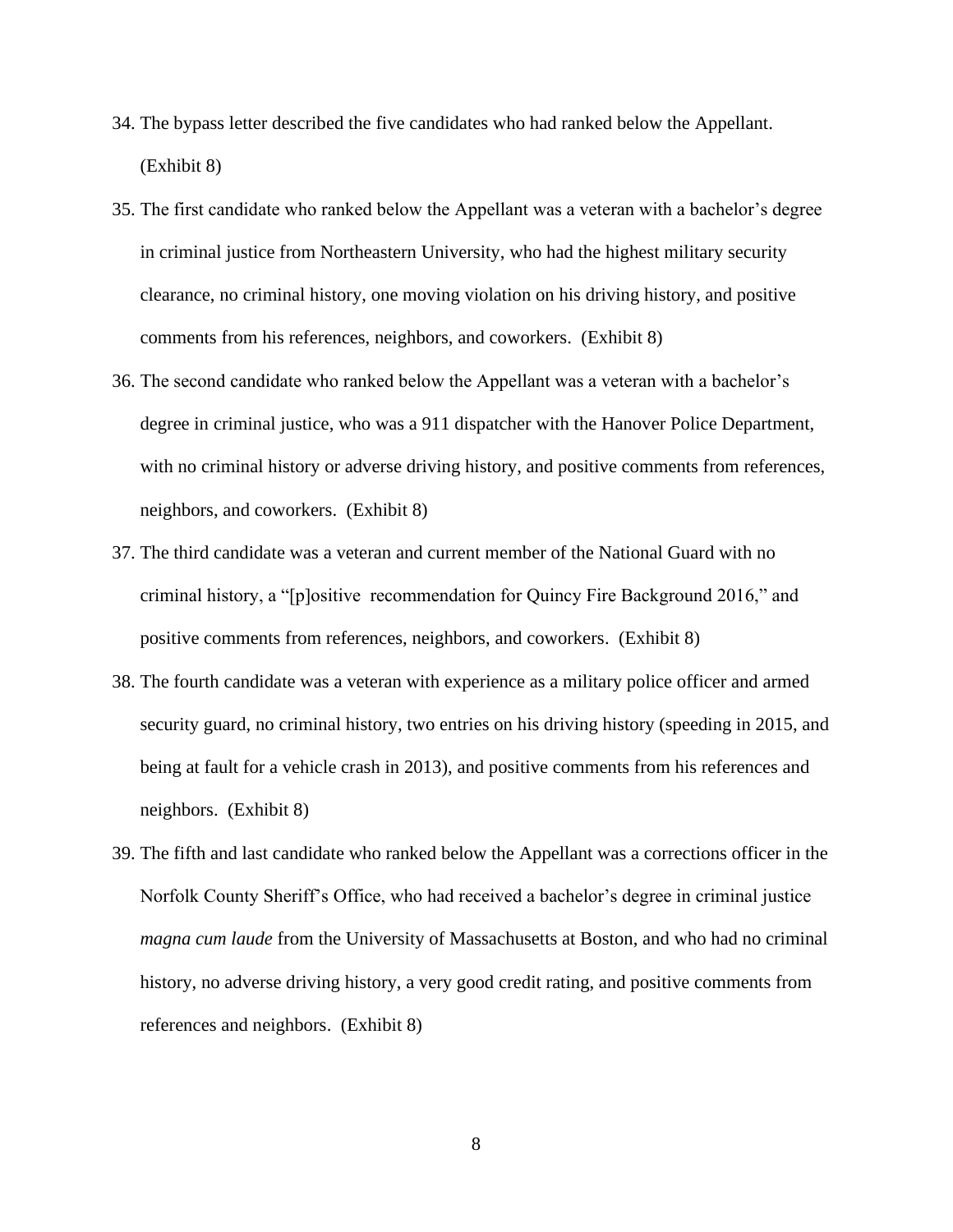- 34. The bypass letter described the five candidates who had ranked below the Appellant. (Exhibit 8)
- 35. The first candidate who ranked below the Appellant was a veteran with a bachelor's degree in criminal justice from Northeastern University, who had the highest military security clearance, no criminal history, one moving violation on his driving history, and positive comments from his references, neighbors, and coworkers. (Exhibit 8)
- 36. The second candidate who ranked below the Appellant was a veteran with a bachelor's degree in criminal justice, who was a 911 dispatcher with the Hanover Police Department, with no criminal history or adverse driving history, and positive comments from references, neighbors, and coworkers. (Exhibit 8)
- 37. The third candidate was a veteran and current member of the National Guard with no criminal history, a "[p]ositive recommendation for Quincy Fire Background 2016," and positive comments from references, neighbors, and coworkers. (Exhibit 8)
- 38. The fourth candidate was a veteran with experience as a military police officer and armed security guard, no criminal history, two entries on his driving history (speeding in 2015, and being at fault for a vehicle crash in 2013), and positive comments from his references and neighbors. (Exhibit 8)
- 39. The fifth and last candidate who ranked below the Appellant was a corrections officer in the Norfolk County Sheriff's Office, who had received a bachelor's degree in criminal justice *magna cum laude* from the University of Massachusetts at Boston, and who had no criminal history, no adverse driving history, a very good credit rating, and positive comments from references and neighbors. (Exhibit 8)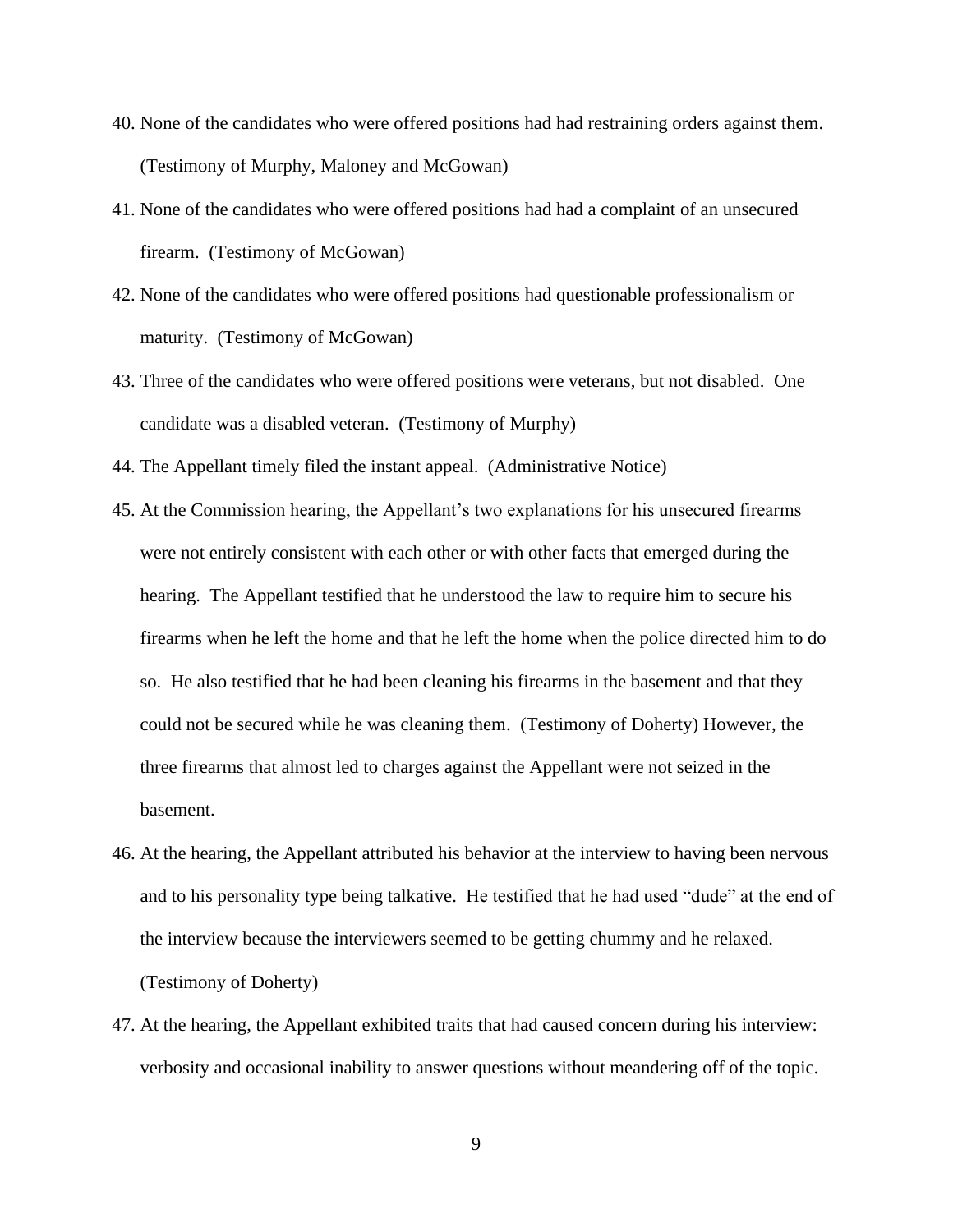- 40. None of the candidates who were offered positions had had restraining orders against them. (Testimony of Murphy, Maloney and McGowan)
- 41. None of the candidates who were offered positions had had a complaint of an unsecured firearm. (Testimony of McGowan)
- 42. None of the candidates who were offered positions had questionable professionalism or maturity. (Testimony of McGowan)
- 43. Three of the candidates who were offered positions were veterans, but not disabled. One candidate was a disabled veteran. (Testimony of Murphy)
- 44. The Appellant timely filed the instant appeal. (Administrative Notice)
- 45. At the Commission hearing, the Appellant's two explanations for his unsecured firearms were not entirely consistent with each other or with other facts that emerged during the hearing. The Appellant testified that he understood the law to require him to secure his firearms when he left the home and that he left the home when the police directed him to do so. He also testified that he had been cleaning his firearms in the basement and that they could not be secured while he was cleaning them. (Testimony of Doherty) However, the three firearms that almost led to charges against the Appellant were not seized in the basement.
- 46. At the hearing, the Appellant attributed his behavior at the interview to having been nervous and to his personality type being talkative. He testified that he had used "dude" at the end of the interview because the interviewers seemed to be getting chummy and he relaxed. (Testimony of Doherty)
- 47. At the hearing, the Appellant exhibited traits that had caused concern during his interview: verbosity and occasional inability to answer questions without meandering off of the topic.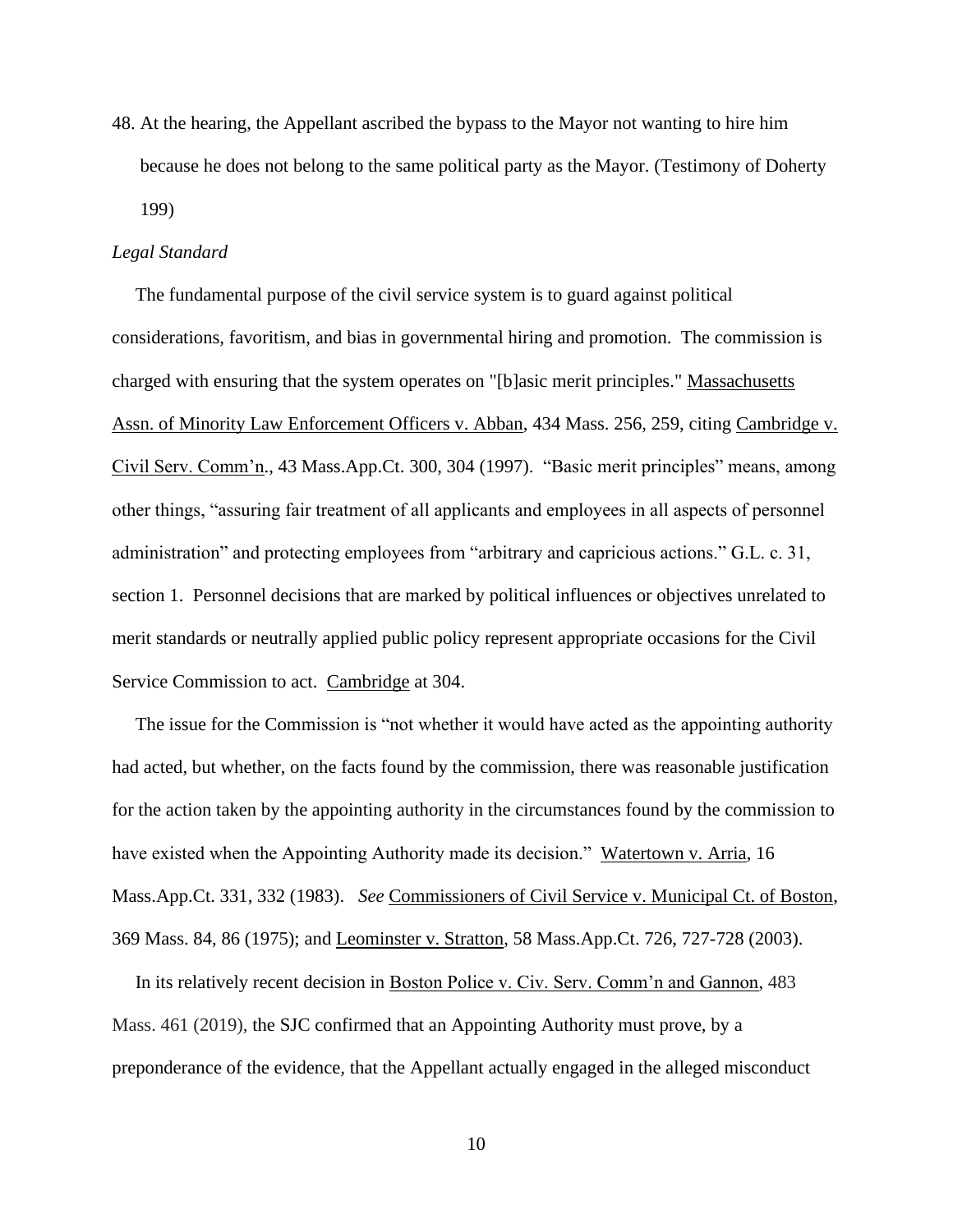48. At the hearing, the Appellant ascribed the bypass to the Mayor not wanting to hire him because he does not belong to the same political party as the Mayor. (Testimony of Doherty 199)

#### *Legal Standard*

 The fundamental purpose of the civil service system is to guard against political considerations, favoritism, and bias in governmental hiring and promotion. The commission is charged with ensuring that the system operates on "[b]asic merit principles." Massachusetts Assn. of Minority Law Enforcement Officers v. Abban, 434 Mass. 256, 259, citing Cambridge v. Civil Serv. Comm'n., 43 Mass.App.Ct. 300, 304 (1997). "Basic merit principles" means, among other things, "assuring fair treatment of all applicants and employees in all aspects of personnel administration" and protecting employees from "arbitrary and capricious actions." G.L. c. 31, section 1. Personnel decisions that are marked by political influences or objectives unrelated to merit standards or neutrally applied public policy represent appropriate occasions for the Civil Service Commission to act. Cambridge at 304.

 The issue for the Commission is "not whether it would have acted as the appointing authority had acted, but whether, on the facts found by the commission, there was reasonable justification for the action taken by the appointing authority in the circumstances found by the commission to have existed when the Appointing Authority made its decision." Watertown v. Arria, 16 Mass.App.Ct. 331, 332 (1983). *See* Commissioners of Civil Service v. Municipal Ct. of Boston, 369 Mass. 84, 86 (1975); and Leominster v. Stratton, 58 Mass.App.Ct. 726, 727-728 (2003).

 In its relatively recent decision in Boston Police v. Civ. Serv. Comm'n and Gannon, 483 Mass. 461 (2019), the SJC confirmed that an Appointing Authority must prove, by a preponderance of the evidence*,* that the Appellant actually engaged in the alleged misconduct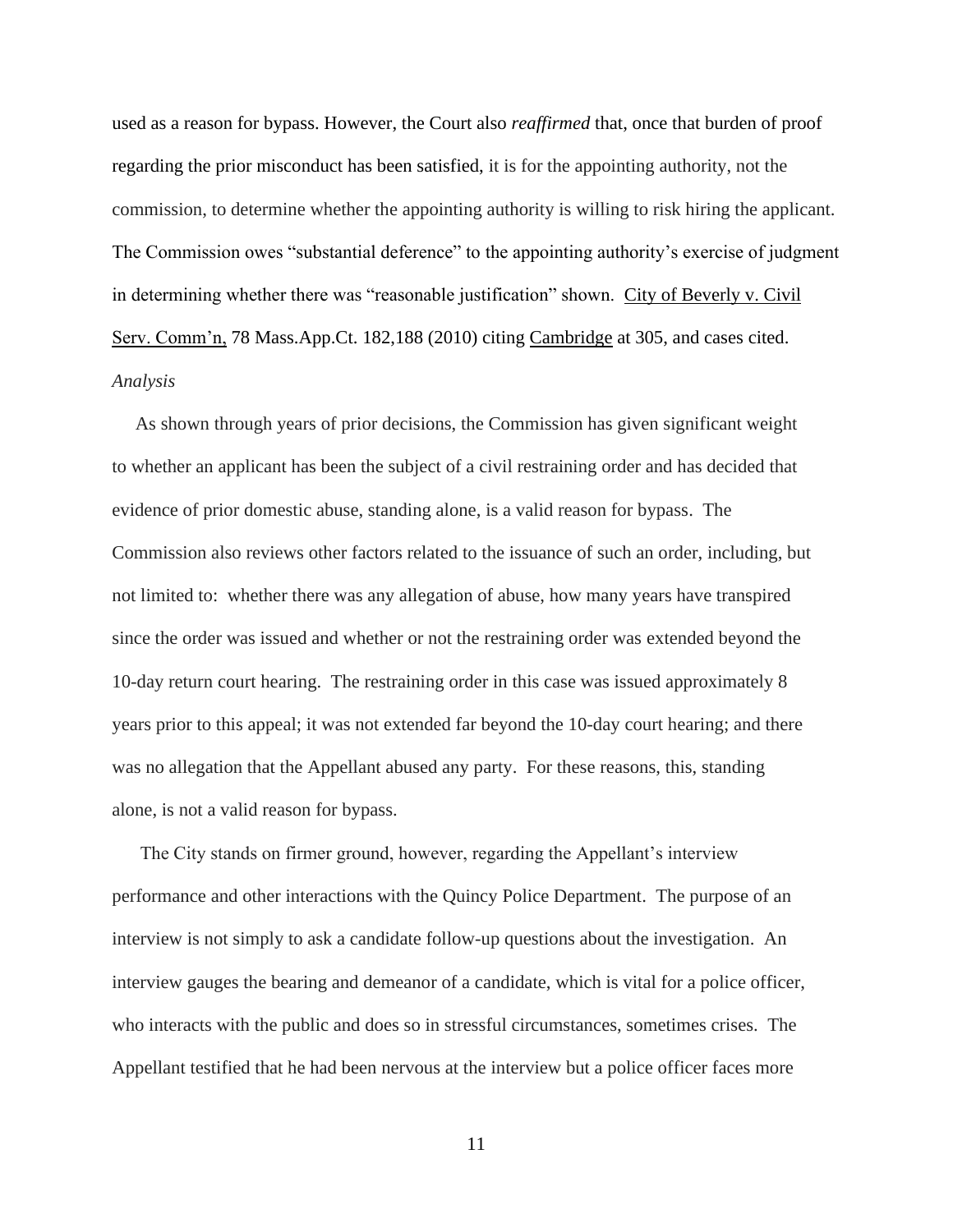used as a reason for bypass. However, the Court also *reaffirmed* that, once that burden of proof regarding the prior misconduct has been satisfied, it is for the appointing authority, not the commission, to determine whether the appointing authority is willing to risk hiring the applicant. The Commission owes "substantial deference" to the appointing authority's exercise of judgment in determining whether there was "reasonable justification" shown. City of Beverly v. Civil Serv. Comm'n, 78 Mass.App.Ct. 182,188 (2010) citing Cambridge at 305, and cases cited. *Analysis*

 As shown through years of prior decisions, the Commission has given significant weight to whether an applicant has been the subject of a civil restraining order and has decided that evidence of prior domestic abuse, standing alone, is a valid reason for bypass. The Commission also reviews other factors related to the issuance of such an order, including, but not limited to: whether there was any allegation of abuse, how many years have transpired since the order was issued and whether or not the restraining order was extended beyond the 10-day return court hearing. The restraining order in this case was issued approximately 8 years prior to this appeal; it was not extended far beyond the 10-day court hearing; and there was no allegation that the Appellant abused any party. For these reasons, this, standing alone, is not a valid reason for bypass.

The City stands on firmer ground, however, regarding the Appellant's interview performance and other interactions with the Quincy Police Department. The purpose of an interview is not simply to ask a candidate follow-up questions about the investigation. An interview gauges the bearing and demeanor of a candidate, which is vital for a police officer, who interacts with the public and does so in stressful circumstances, sometimes crises. The Appellant testified that he had been nervous at the interview but a police officer faces more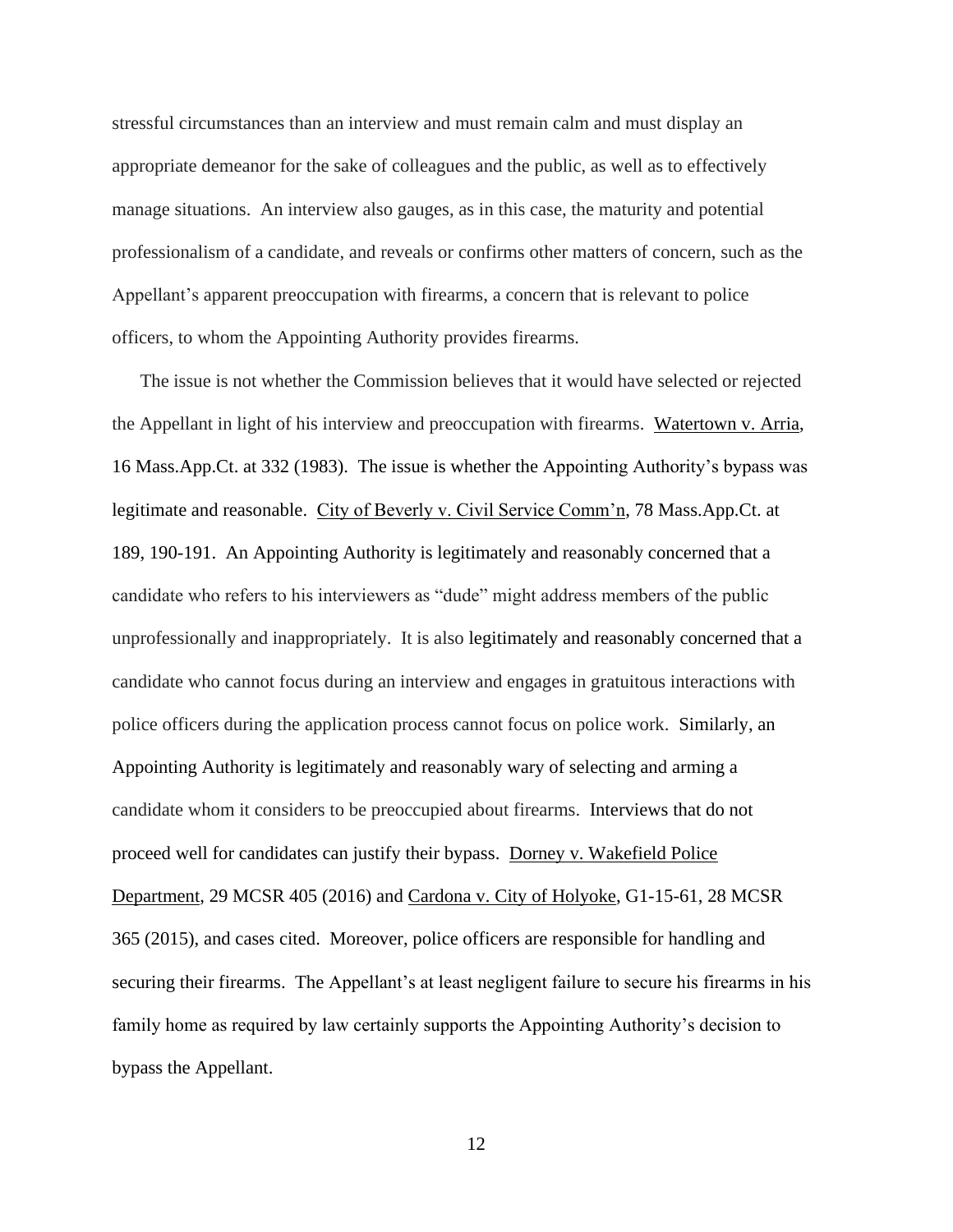stressful circumstances than an interview and must remain calm and must display an appropriate demeanor for the sake of colleagues and the public, as well as to effectively manage situations. An interview also gauges, as in this case, the maturity and potential professionalism of a candidate, and reveals or confirms other matters of concern, such as the Appellant's apparent preoccupation with firearms, a concern that is relevant to police officers, to whom the Appointing Authority provides firearms.

The issue is not whether the Commission believes that it would have selected or rejected the Appellant in light of his interview and preoccupation with firearms. Watertown v. Arria, 16 Mass.App.Ct. at 332 (1983). The issue is whether the Appointing Authority's bypass was legitimate and reasonable. City of Beverly v. Civil Service Comm'n, 78 Mass.App.Ct. at 189, 190-191. An Appointing Authority is legitimately and reasonably concerned that a candidate who refers to his interviewers as "dude" might address members of the public unprofessionally and inappropriately. It is also legitimately and reasonably concerned that a candidate who cannot focus during an interview and engages in gratuitous interactions with police officers during the application process cannot focus on police work. Similarly, an Appointing Authority is legitimately and reasonably wary of selecting and arming a candidate whom it considers to be preoccupied about firearms. Interviews that do not proceed well for candidates can justify their bypass. Dorney v. Wakefield Police Department, 29 MCSR 405 (2016) and Cardona v. City of Holyoke, G1-15-61, 28 MCSR 365 (2015), and cases cited. Moreover, police officers are responsible for handling and securing their firearms. The Appellant's at least negligent failure to secure his firearms in his family home as required by law certainly supports the Appointing Authority's decision to bypass the Appellant.